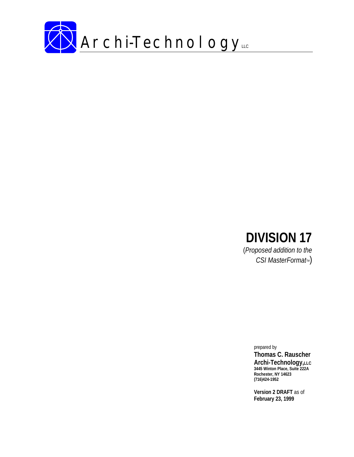

(*Proposed addition to the CSI MasterFormatTM*)

> prepared by **Thomas C. Rauscher Archi-Technology,LLC 3445 Winton Place, Suite 222A Rochester, NY 14623 (716)424-1952**

**Version 2 DRAFT** as of **February 23, 1999**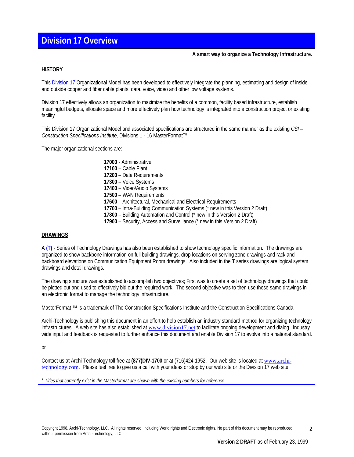# **Division 17 Overview**

#### **A smart way to organize a Technology Infrastructure.**

### **HISTORY**

This Division 17 Organizational Model has been developed to effectively integrate the planning, estimating and design of inside and outside copper and fiber cable plants, data, voice, video and other low voltage systems.

Division 17 effectively allows an organization to maximize the benefits of a common, facility based infrastructure, establish meaningful budgets, allocate space and more effectively plan how technology is integrated into a construction project or existing facility.

This Division 17 Organizational Model and associated specifications are structured in the same manner as the existing *CSI – Construction Specifications Institute,* Divisions 1 - 16 MasterFormat™.

The major organizational sections are:

 - Administrative – Cable Plant – Data Requirements – Voice Systems – Video/Audio Systems – WAN Requirements – Architectural, Mechanical and Electrical Requirements – Intra-Building Communication Systems (\* new in this Version 2 Draft) – Building Automation and Control (\* new in this Version 2 Draft) – Security, Access and Surveillance (\* new in this Version 2 Draft)

#### **DRAWINGS**

A **(T)** - Series of Technology Drawings has also been established to show technology specific information. The drawings are organized to show backbone information on full building drawings, drop locations on serving zone drawings and rack and backboard elevations on Communication Equipment Room drawings. Also included in the **T** series drawings are logical system drawings and detail drawings.

The drawing structure was established to accomplish two objectives; First was to create a set of technology drawings that could be plotted out and used to effectively bid out the required work. The second objective was to then use these same drawings in an electronic format to manage the technology infrastructure.

MasterFormat ™ is a trademark of The Construction Specifications Institute and the Construction Specifications Canada.

Archi-Technology is publishing this document in an effort to help establish an industry standard method for organizing technology infrastructures. A web site has also established at www.division17.net to facilitate ongoing development and dialog. Industry wide input and feedback is requested to further enhance this document and enable Division 17 to evolve into a national standard.

#### or

Contact us at Archi-Technology toll free at **(877)DIV-1700** or at (716)424-1952. Our web site is located at www.architechnology.com. Please feel free to give us a call with your ideas or stop by our web site or the Division 17 web site.

*\* Titles that currently exist in the Masterformat are shown with the existing numbers for reference.*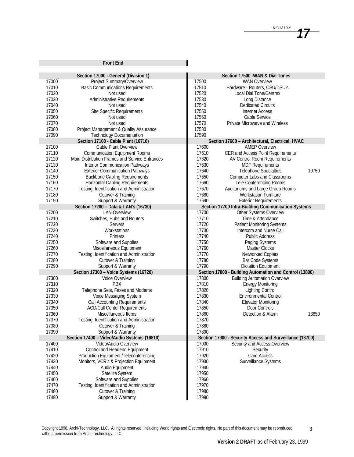|       | <b>Front End</b>                               |       |                                                          |       |
|-------|------------------------------------------------|-------|----------------------------------------------------------|-------|
|       | Section 17000 - General (Division 1)           |       | Section 17500 - WAN & Dial Tones                         |       |
| 17000 | Project Summary/Overview                       | 17500 | <b>WAN Overview</b>                                      |       |
| 17010 | <b>Basic Communications Requirements</b>       | 17510 | Hardware - Routers, CSU/DSU's                            |       |
| 17020 | Not used                                       | 17520 | Local Dial Tone/Centrex                                  |       |
| 17030 | Administrative Requirements                    | 17530 | Long Distance                                            |       |
| 17040 | Not used                                       | 17540 | <b>Dedicated Circuits</b>                                |       |
| 17050 | <b>Site Specific Requirements</b>              | 17550 | <b>Internet Access</b>                                   |       |
| 17060 | Not used                                       | 17560 | Cable Service                                            |       |
| 17070 | Not used                                       | 17570 | Private Microwave and Wireless                           |       |
| 17080 | Project Management & Quality Assurance         | 17580 |                                                          |       |
| 17090 | <b>Technology Documentation</b>                | 17590 |                                                          |       |
|       | Section 17100 - Cable Plant (16710)            |       | Section 17600 - Architectural, Electrical, HVAC          |       |
| 17100 | Cable Plant Overview                           | 17600 | <b>AMEP Overview</b>                                     |       |
| 17110 | <b>Communication Equipment Rooms</b>           | 17610 | CER and Access Point Requirements                        |       |
| 17120 | Main Distribution Frames and Service Entrances | 17620 | AV Control Room Requirements                             |       |
| 17130 | Interior Communication Pathways                | 17630 | <b>MDF Requirements</b>                                  |       |
| 17140 | <b>Exterior Communication Pathways</b>         | 17640 | Telephone Specialties                                    | 10750 |
| 17150 | <b>Backbone Cabling Requirements</b>           | 17650 | <b>Computer Labs and Classrooms</b>                      |       |
| 17160 | Horizontal Cabling Requirements                | 17660 | Tele-Conferencing Rooms                                  |       |
|       |                                                |       |                                                          |       |
| 17170 | Testing, Identification and Administration     | 17670 | Auditoriums and Large Group Rooms                        |       |
| 17180 | Cutover & Training                             | 17680 | <b>Workstation Furniture</b>                             |       |
| 17190 | Support & Warranty                             | 17690 | <b>Exterior Requirements</b>                             |       |
|       | Section 17200 - Data & LAN's (16730)           |       | Section 17700 Intra-Building Communication Systems       |       |
| 17200 | <b>LAN Overview</b>                            | 17700 | Other Systems Overview                                   |       |
| 17210 | Switches, Hubs and Routers                     | 17710 | Time & Attendance                                        |       |
| 17220 | <b>Servers</b>                                 | 17720 | <b>Patient Monitoring Systems</b>                        |       |
| 17230 | Workstations                                   | 17730 | Intercom and Nurse Call                                  |       |
| 17240 | Printers                                       | 17740 | <b>Public Address</b>                                    |       |
| 17250 | Software and Supplies                          | 17750 | Paging Systems                                           |       |
| 17260 | Miscellaneous Equipment                        | 17760 | <b>Master Clocks</b>                                     |       |
| 17270 | Testing, Identification and Administration     | 17770 | Networked Copiers                                        |       |
| 17280 | Cutover & Training                             | 17780 | Bar Code Systems                                         |       |
| 17290 | Support & Warranty                             | 17790 | <b>Dictation Equipment</b>                               |       |
|       | Section 17300 - Voice Systems (16720)          |       | Section 17800 - Building Automation and Control (13800)  |       |
| 17300 | Voice Overview                                 | 17800 | <b>Building Automation Overview</b>                      |       |
| 17310 | PBX                                            | 17810 | <b>Energy Monitoring</b>                                 |       |
| 17320 | Telephone Sets, Faxes and Modems               | 17820 | <b>Lighting Control</b>                                  |       |
| 17330 | Voice Messaging System                         | 17830 | <b>Environmental Control</b>                             |       |
| 17340 | Call Accounting Requirements                   | 17840 | <b>Elevator Monitoring</b>                               |       |
| 17350 | <b>ACD/Call Center Requirements</b>            | 17850 | Door Controls                                            |       |
| 17360 | Miscellaneous Items                            | 17860 | Detection & Alarm                                        | 13850 |
| 17370 | Testing, Identification and Administration     | 17870 |                                                          |       |
| 17380 | Cutover & Training                             | 17880 |                                                          |       |
| 17390 | Support & Warranty                             | 17890 |                                                          |       |
|       | Section 17400 - Video/Audio Systems (16810)    |       | Section 17900 - Security Access and Surveillance (13700) |       |
| 17400 | Video/Audio Overview                           | 17900 | Security and Access Overview                             |       |
| 17410 | Control and Headend Equipment                  | 17910 | Security                                                 |       |
| 17420 | Production Equipment /Teleconferencing         | 17920 | Card Access                                              |       |
| 17430 | Monitors, VCR's & Projection Equipment         | 17930 | Surveillance Systems                                     |       |
| 17440 | Audio Equipment                                | 17940 |                                                          |       |
| 17450 | Satellite System                               | 17950 |                                                          |       |
| 17460 | Software and Supplies                          | 17960 |                                                          |       |
| 17470 | Testing, Identification and Administration     | 17970 |                                                          |       |
| 17480 | Cutover & Training                             | 17980 |                                                          |       |
| 17490 | Support & Warranty                             | 17990 |                                                          |       |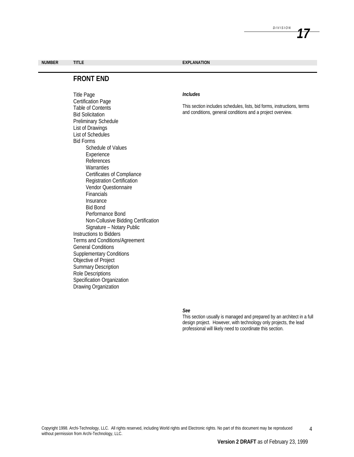**NUMBER TITLE EXPLANATION**

# **FRONT END**

Title Page Certification Page Table of Contents Bid Solicitation Preliminary Schedule List of Drawings List of Schedules Bid Forms Schedule of Values Experience References **Warranties** Certificates of Compliance Registration Certification Vendor Questionnaire **Financials** Insurance Bid Bond Performance Bond Non-Collusive Bidding Certification Signature – Notary Public Instructions to Bidders Terms and Conditions/Agreement General Conditions Supplementary Conditions Objective of Project Summary Description Role Descriptions Specification Organization Drawing Organization

#### *Includes*

This section includes schedules, lists, bid forms, instructions, terms and conditions, general conditions and a project overview.

#### *See*

This section usually is managed and prepared by an architect in a full design project. However, with technology only projects, the lead professional will likely need to coordinate this section.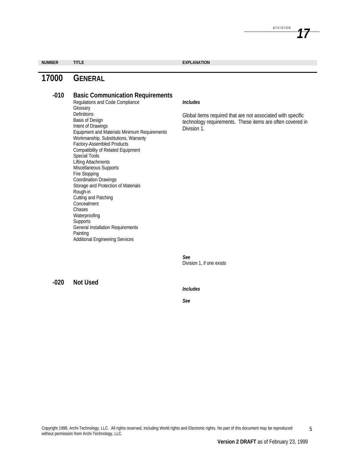**NUMBER TITLE EXPLANATION**

# **17000 GENERAL**

# **-010 Basic Communication Requirements**

Regulations and Code Compliance Glossary **Definitions** Basis of Design Intent of Drawings Equipment and Materials Minimum Requirements Workmanship, Substitutions, Warranty Factory-Assembled Products Compatibility of Related Equipment Special Tools Lifting Attachments Miscellaneous Supports Fire Stopping Coordination Drawings Storage and Protection of Materials Rough-in Cutting and Patching **Concealment** Chases Waterproofing **Supports** General Installation Requirements Painting Additional Engineering Services

#### *Includes*

Global items required that are not associated with specific technology requirements. These items are often covered in Division 1.

*See* Division 1, if one exists

**-020 Not Used**

#### *Includes*

*See*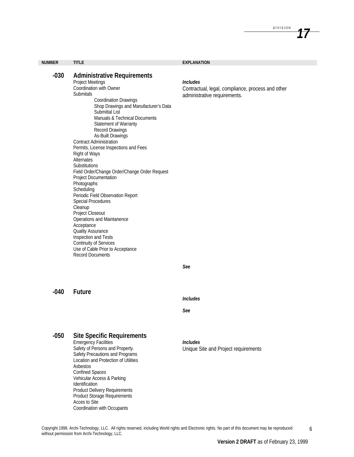| <b>NUMBER</b> | <b>TITLE</b>                                                                                                                                                                                                                                                                                                                                                                                                                                                                                                                                                                                                                                                                                                                                                                                                            | <b>EXPLANATION</b>                                                                                   |
|---------------|-------------------------------------------------------------------------------------------------------------------------------------------------------------------------------------------------------------------------------------------------------------------------------------------------------------------------------------------------------------------------------------------------------------------------------------------------------------------------------------------------------------------------------------------------------------------------------------------------------------------------------------------------------------------------------------------------------------------------------------------------------------------------------------------------------------------------|------------------------------------------------------------------------------------------------------|
| $-030$        | <b>Administrative Requirements</b><br><b>Project Meetings</b><br>Coordination with Owner<br>Submitals<br><b>Coordination Drawings</b><br>Shop Drawings and Manufacturer's Data<br>Submittal List<br>Manuals & Technical Documents<br>Statement of Warranty<br>Record Drawings<br>As-Built Drawings<br><b>Contract Administration</b><br>Permits, License Inspections and Fees<br>Right of Ways<br>Alternates<br>Substitutions<br>Field Order/Change Order/Change Order Request<br>Project Documentation<br>Photographs<br>Scheduling<br>Periodic Field Observation Report<br>Special Procedures<br>Cleanup<br>Project Closeout<br>Operations and Maintanence<br>Acceptance<br>Quality Assurance<br>Inspection and Tests<br><b>Continuity of Services</b><br>Use of Cable Prior to Acceptance<br><b>Record Documents</b> | <b>Includes</b><br>Contractual, legal, compliance, process and other<br>administrative requirements. |
|               |                                                                                                                                                                                                                                                                                                                                                                                                                                                                                                                                                                                                                                                                                                                                                                                                                         | See                                                                                                  |
| $-040$        | <b>Future</b>                                                                                                                                                                                                                                                                                                                                                                                                                                                                                                                                                                                                                                                                                                                                                                                                           | <i><u><b>Includes</b></u></i><br>See                                                                 |
| $-050$        | <b>Site Specific Requirements</b><br><b>Emergency Facilities</b><br>Safety of Persons and Property.<br>Safety Precautions and Programs<br>Location and Protection of Utilities<br>Asbestos<br><b>Confined Spaces</b><br>Vehicular Access & Parking                                                                                                                                                                                                                                                                                                                                                                                                                                                                                                                                                                      | <b>Includes</b><br>Unique Site and Project requirements                                              |

Copyright 1998. Archi-Technology, LLC. All rights reserved, including World rights and Electronic rights. No part of this document may be reproduced without permission from Archi-Technology, LLC.

Identification

Acces to Site

Product Delivery Requirements Product Storage Requirements

Coordination with Occupants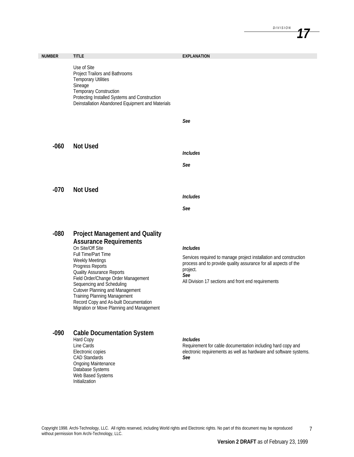*17*

| <b>NUMBER</b> | <b>TITLE</b>                                                                                                                                                                                                                                                                                                                                                                                                                             | <b>EXPLANATION</b>                                                                                                                                                                                                                |
|---------------|------------------------------------------------------------------------------------------------------------------------------------------------------------------------------------------------------------------------------------------------------------------------------------------------------------------------------------------------------------------------------------------------------------------------------------------|-----------------------------------------------------------------------------------------------------------------------------------------------------------------------------------------------------------------------------------|
|               | Use of Site<br>Project Trailors and Bathrooms<br><b>Temporary Utilities</b><br>Sineage<br><b>Temporary Construction</b><br>Protecting Installed Systems and Construction<br>Deinstallation Abandoned Equipment and Materials                                                                                                                                                                                                             |                                                                                                                                                                                                                                   |
|               |                                                                                                                                                                                                                                                                                                                                                                                                                                          | See                                                                                                                                                                                                                               |
| $-060$        | <b>Not Used</b>                                                                                                                                                                                                                                                                                                                                                                                                                          | <b>Includes</b><br>See                                                                                                                                                                                                            |
| $-070$        | <b>Not Used</b>                                                                                                                                                                                                                                                                                                                                                                                                                          | <b>Includes</b>                                                                                                                                                                                                                   |
|               |                                                                                                                                                                                                                                                                                                                                                                                                                                          | See                                                                                                                                                                                                                               |
| $-080$        | <b>Project Management and Quality</b><br><b>Assurance Requirements</b><br>On Site/Off Site<br>Full Time/Part Time<br><b>Weekly Meetings</b><br>Progress Reports<br><b>Quality Assurance Reports</b><br>Field Order/Change Order Management<br>Sequencing and Scheduling<br><b>Cutover Planning and Management</b><br>Training Planning Management<br>Record Copy and As-built Documentation<br>Migration or Move Planning and Management | <b>Includes</b><br>Services required to manage project installation and construction<br>process and to provide quality assurance for all aspects of the<br>project.<br>See<br>All Division 17 sections and front end requirements |
| $-090$        | <b>Cable Documentation System</b><br>Hard Copy<br>Line Cards<br>Electronic copies<br><b>CAD Standards</b><br><b>Ongoing Maintenance</b><br>Database Systems<br>Web Based Systems<br>Initialization                                                                                                                                                                                                                                       | <b>Includes</b><br>Requirement for cable documentation including hard copy and<br>electronic requirements as well as hardware and software systems.<br>See                                                                        |

**Version 2 DRAFT** as of February 23, 1999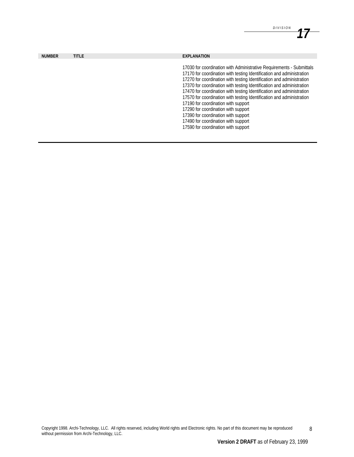| <b>NUMBER</b> | <b>TITLE</b> | <b>EXPLANATION</b>                                                                                                                                                                                                                                                                                                                                                       |
|---------------|--------------|--------------------------------------------------------------------------------------------------------------------------------------------------------------------------------------------------------------------------------------------------------------------------------------------------------------------------------------------------------------------------|
|               |              | 17030 for coordination with Administrative Requirements - Submittals<br>17170 for coordination with testing Identification and administration<br>17270 for coordination with testing Identification and administration<br>17370 for coordination with testing Identification and administration<br>17470 for coordination with testing Identification and administration |
|               |              | 17570 for coordination with testing Identification and administration<br>17190 for coordination with support<br>17290 for coordination with support<br>17390 for coordination with support<br>17490 for coordination with support                                                                                                                                        |
|               |              | 17590 for coordination with support                                                                                                                                                                                                                                                                                                                                      |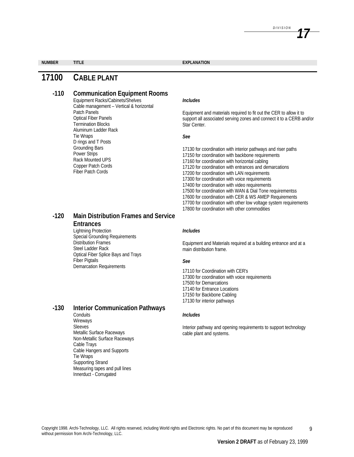| <b>NUMBER</b> |  |  |
|---------------|--|--|

**NUMBER 2008 12:00 TITLE** 

# **17100 CABLE PLANT**

# **-110 Communication Equipment Rooms**

Equipment Racks/Cabinets/Shelves Cable management – Vertical & horizontal Patch Panels Optical Fiber Panels Termination Blocks Aluminum Ladder Rack Tie Wraps D rings and T Posts Grounding Bars Power Strips Rack Mounted UPS Copper Patch Cords Fiber Patch Cords

# **-120 Main Distribution Frames and Service Entrances**

Lightning Protection Special Grounding Requirements Distribution Frames Steel Ladder Rack Optical Fiber Splice Bays and Trays Fiber Pigtails Demarcation Requirements

# **-130 Interior Communication Pathways**

Wireways **Sleeves** Metallic Surface Raceways Non-Metallic Surface Raceways Cable Trays Cable Hangers and Supports Tie Wraps Supporting Strand Measuring tapes and pull lines Innerduct - Corrugated

#### *Includes*

Equipment and materials required to fit out the CER to allow it to support all associated serving zones and connect it to a CERB and/or Star Center.

#### *See*

17130 for coordination with interior pathways and riser paths 17150 for coordination with backbone requirements 17160 for coordination with horizontal cabling 17120 for coordination with entrances and demarcations 17200 for coordination with LAN requirements 17300 for coordination with voice requirements 17400 for coordination with video requirements 17500 for coordination with WAN & Dial Tone requirementss 17600 for coordination with CER & WS AMEP Requirements 17700 for coordination with other low voltage system requirements 17800 for coordination with other commodities

#### *Includes*

Equipment and Materials required at a building entrance and at a main distribution frame.

#### *See*

17110 for Coordination with CER's 17300 for coordination with voice requirements 17500 for Demarcations 17140 for Entrance Locations 17150 for Backbone Cabling 17130 for interior pathways

#### Conduits *Includes*

Interior pathway and opening requirements to support technology cable plant and systems.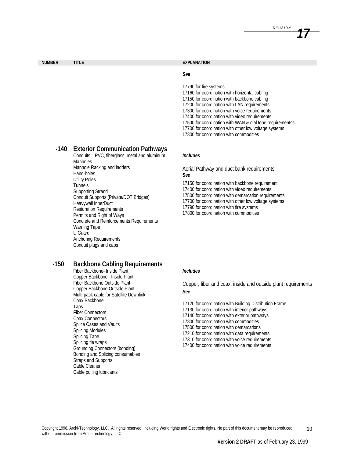*17*

**NUMBER TITLE EXPLANATION**

*See*

17790 for fire systems

17160 for coordination with horizontal cabling

17150 for coordination with backbone cabling

17200 for coordination with LAN requirements

17300 for coordination with voice requirements 17400 for coordination with video requirements

- 17500 for coordination with WAN & dial tone requirementss
- 17700 for coordination with other low voltage systems

17800 for coordination with commodities

#### **-140 Exterior Communication Pathways** Conduits – PVC, fiberglass, metal and aluminum

Manholes Manhole Racking and ladders Hand-holes Utility Poles Tunnels Supporting Strand Conduit Supports (Private/DOT Bridges) Heavywall InnerDuct Restoration Requirements Permits and Right of Ways Concrete and Reinforcements Requirements Warning Tape U Guard Anchoring Requirements Conduit plugs and caps

# **-150 Backbone Cabling Requirements**

Fiber Backbone- Inside Plant Copper Backbone –Inside Plant Fiber Backbone Outside Plant Copper Backbone Outside Plant Multi-pack cable for Satellite Downlink Coax Backbone **Taps** Fiber Connectors Coax Connectors Splice Cases and Vaults Splicing Modules Splicing Tape Splicing tie wraps Grounding Connectors (bonding) Bonding and Splicing consumables Straps and Supports Cable Cleaner Cable pulling lubricants

### *Includes*

Aerial Pathway and duct bank requirements *See*

17150 for coordination with backbone requirement 17400 for coordination with video requirements 17500 for coordination with demarcation requirements 17700 for coordination with other low voltage systems 17790 for coordination with fire systems 17800 for coordination with commodities

#### *Includes*

Copper, fiber and coax, inside and outside plant requirements *See*

17120 for coordination with Building Distribution Frame 17130 for coordination with interior pathways 17140 for coordination with exterior pathways 17800 for coordination with commodities 17500 for coordination with demarcations 17210 for coordination with data requirements 17310 for coordination with voice requirements 17400 for coordination with voice requirements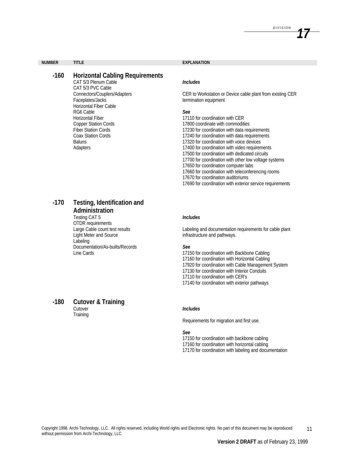#### **NUMBER TITLE EXPLANATION**

# **-160 Horizontal Cabling Requirements**

CAT 5/3 Plenum Cable CAT 5/3 PVC Cable Connectors/Couplers/Adapters Faceplates/Jacks Horizontal Fiber Cable RG6 Cable Horizontal Fiber Copper Station Cords Fiber Station Cords Coax Station Cords **Baluns** Adapters

# **-170 Testing, Identification and Administration**

Testing CAT 5 OTDR requirements Large Cable count test results Light Meter and Source Labeling Documentation/As-builts/Records

# **-180 Cutover & Training**

Cutover **Training** 

#### *Includes*

CER to Workstation or Device cable plant from existing CER termination equipment

#### *See*

17110 for coordination with CER 17800 coordinate with commodities 17230 for coordination with data requirements 17240 for coordination with data requirements 17320 for coordination with voice devices 17400 for coordination with video requirements 17500 for coordination with dedicated circuits 17700 for coordination with other low voltage systems 17650 for coordination computer labs 17660 for coordination with teleconferencing rooms 17670 for coordination auditoriums 17690 for coordination with exterior service requirements

#### *Includes*

Labeling and documentation requirements for cable plant infrastructure and pathways.

#### *See*

Line Cards 17150 for coordination with Backbone Cabling 17160 for coordination with Horizontal Cabling 17920 for coordination with Cable Management System 17130 for coordination with Interior Conduits 17110 for coordination with CER's 17140 for coordination with exterior pathways

#### *Includes*

Requirements for migration and first use.

#### *See*

17150 for coordination with backbone cabling 17160 for coordination with horizontal cabling 17170 for coordination with labeling and documentation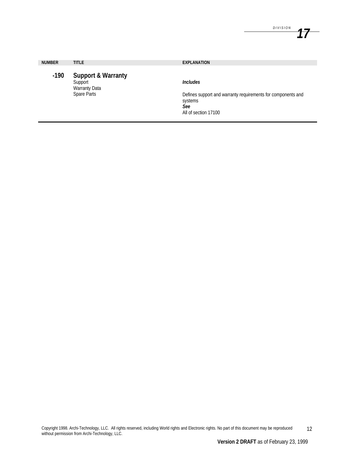| <b>NUMBER</b> | <b>TITLE</b>                                                             | <b>EXPLANATION</b>                                                                                                                      |
|---------------|--------------------------------------------------------------------------|-----------------------------------------------------------------------------------------------------------------------------------------|
| $-190$        | <b>Support &amp; Warranty</b><br>Support<br>Warranty Data<br>Spare Parts | <i><u><b>Includes</b></u></i><br>Defines support and warranty requirements for components and<br>systems<br>See<br>All of section 17100 |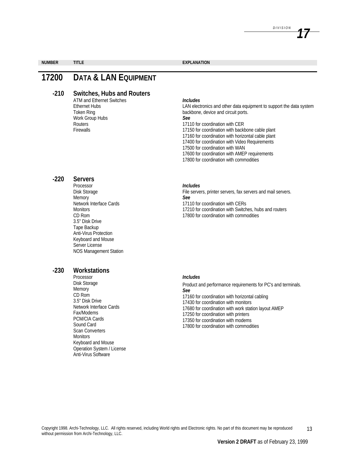#### **NUMBER TITLE EXPLANATION**

# **17200 DATA & LAN EQUIPMENT**

# **-210 Switches, Hubs and Routers**

ATM and Ethernet Switches Ethernet Hubs Token Ring Work Group Hubs Routers Firewalls

# **-220 Servers**

Processor Disk Storage Memory Network Interface Cards **Monitors** CD Rom 3.5" Disk Drive Tape Backup Anti-Virus Protection Keyboard and Mouse Server License NOS Management Station

# **-230 Workstations**

Processor Disk Storage Memory CD Rom 3.5" Disk Drive Network Interface Cards Fax/Modems PCM/CIA Cards Sound Card Scan Converters **Monitors** Keyboard and Mouse Operation System / License Anti-Virus Software

#### *Includes*

LAN electronics and other data equipment to support the data system backbone, device and circuit ports. *See*

17110 for coordination with CER

17150 for coordination with backbone cable plant

17160 for coordination with horizontal cable plant

- 17400 for coordination with Video Requirements
- 17500 for coordination with WAN
- 17600 for coordination with AMEP requirements
- 17800 for coordination with commodities

#### *Includes*

File servers, printer servers, fax servers and mail servers. *See* 17110 for coordination with CERs

17210 for coordination with Switches, hubs and routers 17800 for coordination with commodities

### *Includes*

Product and performance requirements for PC's and terminals. *See* 17160 for coordination with horizontal cabling 17430 for coordination with monitors 17680 for coordination with work station layout AMEP 17250 for coordination with printers 17350 for coordination with modems 17800 for coordination with commodities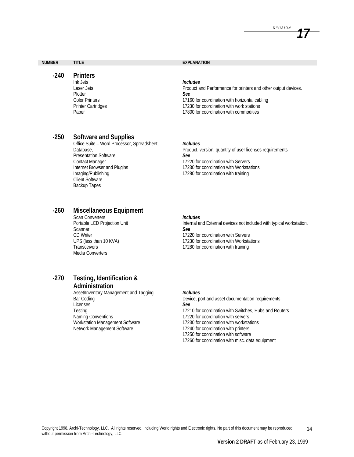| NUMBER | <b>TITLE</b>                                                                                                                                                                                                                                | <b>EXPLANATION</b>                                                                                                                                                                                                                 |
|--------|---------------------------------------------------------------------------------------------------------------------------------------------------------------------------------------------------------------------------------------------|------------------------------------------------------------------------------------------------------------------------------------------------------------------------------------------------------------------------------------|
| $-240$ | <b>Printers</b><br>Ink Jets<br>Laser Jets<br>Plotter<br><b>Color Printers</b><br><b>Printer Cartridges</b><br>Paper                                                                                                                         | <b>Includes</b><br>Product and Performance for printers and other output devices.<br>See<br>17160 for coordination with horizontal cabling<br>17230 for coordination with work stations<br>17800 for coordination with commodities |
| $-250$ | <b>Software and Supplies</b><br>Office Suite - Word Processor, Spreadsheet,<br>Database,<br><b>Presentation Software</b><br><b>Contact Manager</b><br>Internet Browser and Plugins<br>Imaging/Publishing<br>Client Software<br>Backup Tapes | <b>Includes</b><br>Product, version, quantity of user licenses requirements<br>See<br>17220 for coordination with Servers<br>17230 for coordination with Workstations<br>17280 for coordination with training                      |

# **-260 Miscellaneous Equipment**

Scan Converters Portable LCD Projection Unit **Scanner** CD Writer UPS (less than 10 KVA) **Transceivers** Media Converters

# **-270 Testing, Identification & Administration**

Asset/Inventory Management and Tagging Bar Coding Licenses **Testing** Naming Conventions Workstation Management Software Network Management Software

#### *Includes*

Internal and External devices not included with typical workstation. *See* 17220 for coordination with Servers 17230 for coordination with Workstations 17280 for coordination with training

#### *Includes*

Device, port and asset documentation requirements *See* 17210 for coordination with Switches, Hubs and Routers 17220 for coordination with servers 17230 for coordination with workstations 17240 for coordination with printers 17250 for coordination with software

17260 for coordination with misc. data equipment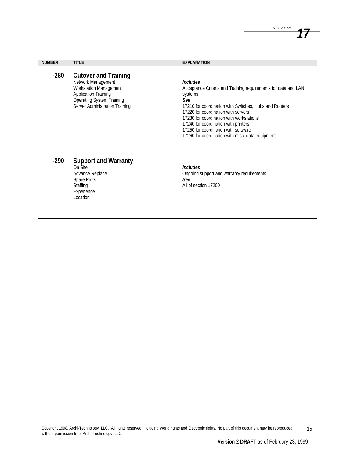| <b>NUMBER</b> | <b>TITLE</b>                                                                                                                                                                            | <b>EXPLANATION</b>                                                                                                                                                                                                                                                                                                                                                                                  |
|---------------|-----------------------------------------------------------------------------------------------------------------------------------------------------------------------------------------|-----------------------------------------------------------------------------------------------------------------------------------------------------------------------------------------------------------------------------------------------------------------------------------------------------------------------------------------------------------------------------------------------------|
| $-280$        | <b>Cutover and Training</b><br>Network Management<br><b>Workstation Management</b><br><b>Application Training</b><br><b>Operating System Training</b><br>Server Administration Training | <i><u><b>Includes</b></u></i><br>Acceptance Criteria and Training requirements for data and LAN<br>systems.<br>See<br>17210 for coordination with Switches, Hubs and Routers<br>17220 for coordination with servers<br>17230 for coordination with workstations<br>17240 for coordination with printers<br>17250 for coordination with software<br>17260 for coordination with misc. data equipment |

# **-290 Support and Warranty**

On Site Advance Replace Spare Parts **Staffing** Experience **Location** 

*Includes* Ongoing support and warranty requirements *See* All of section 17200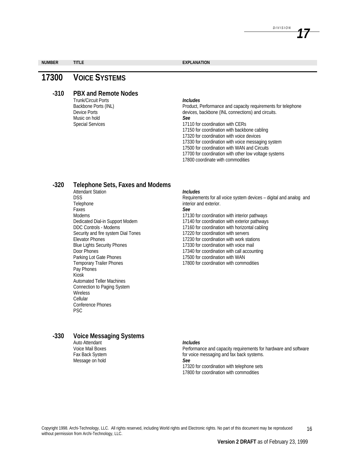| <b>NUMBER</b> | <b>TITLE</b>         | EXPLANATION |
|---------------|----------------------|-------------|
|               |                      |             |
| 17300         | <b>VOICE SYSTEMS</b> |             |

# **-310 PBX and Remote Nodes**

Trunk/Circuit Ports Backbone Ports (INL) Device Ports Music on hold<br>Special Services

#### *Includes*

Product, Performance and capacity requirements for telephone devices, backbone (INL connections) and circuits. *See*

17110 for coordination with CERs

17150 for coordination with backbone cabling

17320 for coordination with voice devices

17330 for coordination with voice messaging system

17500 for coordination with WAN and Circuits

17700 for coordination with other low voltage systems

17800 coordinate with commodities

# **-320 Telephone Sets, Faxes and Modems**

Attendant Station DSS Telephone Faxes Modems Dedicated Dial-in Support Modem DDC Controls - Modems Security and fire system Dial Tones Elevator Phones Blue Lights Security Phones Door Phones Parking Lot Gate Phones Temporary Trailer Phones Pay Phones Kiosk Automated Teller Machines Connection to Paging System Wireless Cellular Conference Phones PSC

# **-330 Voice Messaging Systems**

Auto Attendant Voice Mail Boxes Fax Back System Message on hold

#### *Includes*

Requirements for all voice system devices – digital and analog and interior and exterior.

*See*

17130 for coordination with interior pathways 17140 for coordination with exterior pathways 17160 for coordination with horizontal cabling 17220 for coordination with servers 17230 for coordination with work stations 17330 for coordination with voice mail 17340 for coordination with call accounting 17500 for coordination with WAN 17800 for coordination with commodities

#### *Includes*

Performance and capacity requirements for hardware and software for voice messaging and fax back systems. *See* 17320 for coordination with telephone sets 17800 for coordination with commodities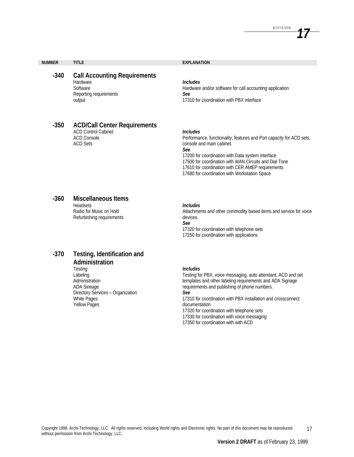| <b>NUMBER</b> | <b>TITLE</b>                                                                                    | <b>EXPLANATION</b>                                                                                                                            |
|---------------|-------------------------------------------------------------------------------------------------|-----------------------------------------------------------------------------------------------------------------------------------------------|
| $-340$        | <b>Call Accounting Requirements</b><br>Hardware<br>Software<br>Reporting requirements<br>output | <i><u><b>Includes</b></u></i><br>Hardware and/or software for call accounting application<br>See<br>17310 for coordination with PBX interface |
| $-350$        | <b>ACD/Call Center Requirements</b><br><b>ACD Control Cabinet</b><br>ACD Console                | <b>Includes</b><br>Performance, functionality, features and Port capacity for ACD sets                                                        |

Performance, functionality, features and Port capacity for ACD sets, console and main cabinet.

*See* 17200 for coordination with Data system interface 17500 for coordination with WAN Circuits and Dial Tone 17610 for coordination with CER AMEP requirements 17680 for coordination with Workstation Space

### **-360 Miscellaneous Items**

ACD Sets

Headsets Radio for Music on Hold Refurbishing requirements

#### *Includes*

Attachments and other commodity based items and service for voice devices.

*See*

17320 for coordination with telephone sets 17250 for coordination with applications

# **-370 Testing, Identification and Administration**

**Testing** Labeling **Administration** ADA Sineage Directory Services – Organization White Pages Yellow Pages

#### *Includes*

Testing for PBX, voice messaging, auto attendant, ACD and set templates and other labeling requirements and ADA Signage requirements and publishing of phone numbers. *See*

17310 for coordination with PBX installation and crossconnect documentation 17320 for coordination with telephone sets

17330 for coordination with voice messaging 17350 for coordination with with ACD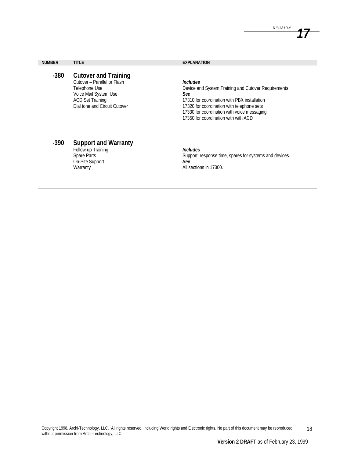| <b>NUMBER</b> | <b>TITLE</b>                                                                                                                                                     | <b>EXPLANATION</b>                                                                                                                                                                                                                                                               |
|---------------|------------------------------------------------------------------------------------------------------------------------------------------------------------------|----------------------------------------------------------------------------------------------------------------------------------------------------------------------------------------------------------------------------------------------------------------------------------|
| $-380$        | <b>Cutover and Training</b><br>Cutover - Parallel or Flash<br>Telephone Use<br>Voice Mail System Use<br><b>ACD Set Training</b><br>Dial tone and Circuit Cutover | <i><u><b>Includes</b></u></i><br>Device and System Training and Cutover Requirements<br>See<br>17310 for coordination with PBX installation<br>17320 for coordination with telephone sets<br>17330 for coordination with voice messaging<br>17350 for coordination with with ACD |

### **-390 Support and Warranty**

Follow-up Training Spare Parts On-Site Support Warranty **All sections** in 17300.

*Includes* Support, response time, spares for systems and devices. See<br>All sections in 17300.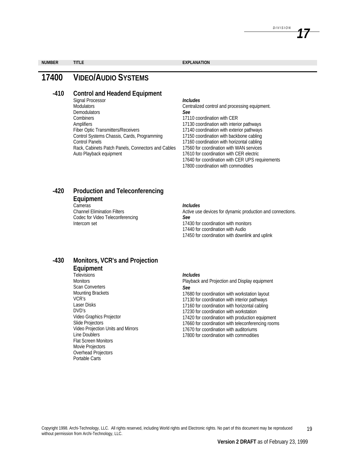| <b>NUMBER</b> | EXPLANATION |
|---------------|-------------|

# **17400 VIDEO/AUDIO SYSTEMS**

# **-410 Control and Headend Equipment**

Signal Processor **Modulators Demodulators Combiners** Amplifiers Fiber Optic Transmitters/Receivers Control Systems Chassis, Cards, Programming Control Panels Rack, Cabinets Patch Panels, Connectors and Cables Auto Playback equipment

#### *Includes*

Centralized control and processing equipment. *See* 17110 coordination with CER 17130 coordination with interior pathways 17140 coordination with exterior pathways 17150 coordination with backbone cabling 17160 coordination with horizontal cabling 17560 for coordination with WAN services 17610 for coordination with CER electric 17640 for coordination with CER UPS requirements 17800 coordination with commodities

# **-420 Production and Teleconferencing Equipment**

Cameras Channel Elimination Filters Codec for Video Teleconferencing

#### *Includes*

Active use devices for dynamic production and connections. *See* Intercom set 17430 for coordination with monitors

17440 for coordination with Audio

17450 for coordination with downlink and uplink

### **-430 Monitors, VCR's and Projection Equipment**

Televisions **Monitors** Scan Converters Mounting Brackets VCR's Laser Disks DVD's Video Graphics Projector Slide Projectors Video Projection Units and Mirrors Line Doublers Flat Screen Monitors Movie Projectors Overhead Projectors Portable Carts

#### *Includes*

Playback and Projection and Display equipment *See*

17680 for coordination with workstation layout 17130 for coordination with interior pathways 17160 for coordination with horizontal cabling 17230 for coordination with workstation 17420 for coordination with production equipment 17660 for coordination with teleconferencing rooms 17670 for coordination with auditoriums 17800 for coordination with commodities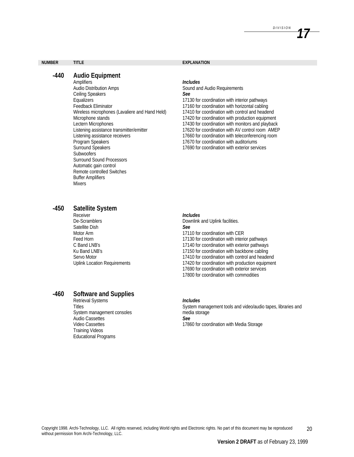#### **NUMBER TITLE EXPLANATION**

# **-440 Audio Equipment**

Amplifiers Audio Distribution Amps Ceiling Speakers **Equalizers** Feedback Eliminator Wireless microphones (Lavaliere and Hand Held) Microphone stands Lectern Microphones Listening assistance transmitter/emitter Listening assistance receivers Program Speakers Surround Speakers **Subwoofers** Surround Sound Processors Automatic gain control Remote controlled Switches Buffer Amplifiers Mixers

#### *Includes*

Sound and Audio Requirements *See* 17130 for coordination with interior pathways 17160 for coordination with horizontal cabling 17410 for coordination with control and headend 17420 for coordination with production equipment 17430 for coordination with monitors and playback 17620 for coordination with AV control room AMEP 17660 for coordination with teleconferencing room 17670 for coordination with auditoriums 17690 for coordination with exterior services

## **-450 Satellite System**

Receiver De-Scramblers Satellite Dish Motor Arm Feed Horn C Band LNB's Ku Band LNB's Servo Motor Uplink Location Requirements

## **-460 Software and Supplies**

Retrieval Systems **Titles** System management consoles Audio Cassettes Video Cassettes Training Videos Educational Programs

#### *Includes*

Downlink and Uplink facilities. *See* 17110 for coordination with CER 17130 for coordination with interior pathways 17140 for coordination with exterior pathways 17150 for coordination with backbone cabling 17410 for coordination with control and headend 17420 for coordination with production equipment 17690 for coordination with exterior services 17800 for coordination with commodities

#### *Includes*

System management tools and video/audio tapes, libraries and media storage *See* 17860 for coordination with Media Storage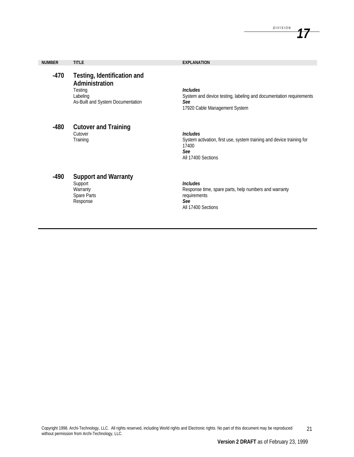| <b>NUMBER</b> | <b>TITLE</b>                                                                                              | <b>EXPLANATION</b>                                                                                                             |
|---------------|-----------------------------------------------------------------------------------------------------------|--------------------------------------------------------------------------------------------------------------------------------|
| -470          | Testing, Identification and<br>Administration<br>Testing<br>Labeling<br>As-Built and System Documentation | <b>Includes</b><br>System and device testing, labeling and documentation requirements<br>See<br>17920 Cable Management System  |
| $-480$        | <b>Cutover and Training</b><br>Cutover<br>Training                                                        | <b>Includes</b><br>System activation, first use, system training and device training for<br>17400<br>See<br>All 17400 Sections |
| $\mathbf{A}$  | Concerted and Manuautri                                                                                   |                                                                                                                                |

# **-490 Support and Warranty**

Support **Warranty** Spare Parts Response

# *Includes*

Response time, spare parts, help numbers and warranty requirements *See* All 17400 Sections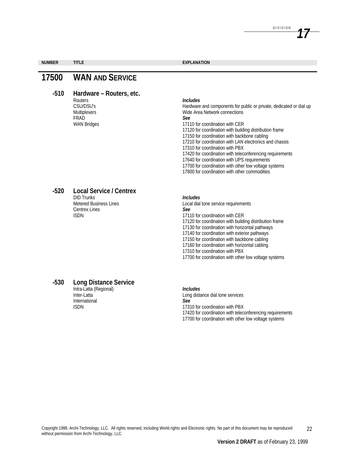| <b>NUMBER</b> | <b>TITLE</b>                   | <b>EXPLANATION</b>                                                                                    |
|---------------|--------------------------------|-------------------------------------------------------------------------------------------------------|
|               |                                |                                                                                                       |
| 17500         | <b>WAN AND SERVICE</b>         |                                                                                                       |
|               |                                |                                                                                                       |
| $-510$        | Hardware – Routers, etc.       |                                                                                                       |
|               | Routers                        | <b>Includes</b>                                                                                       |
|               | CSU/DSU's                      | Hardware and components for public or private, dedicated or dial up                                   |
|               | Multiplexers<br>FRAD           | Wide Area Network connections<br>See                                                                  |
|               | <b>WAN Bridges</b>             | 17110 for coordination with CER                                                                       |
|               |                                | 17120 for coordination with building distribution frame                                               |
|               |                                | 17150 for coordination with backbone cabling                                                          |
|               |                                | 17210 for coordination with LAN electronics and chassis                                               |
|               |                                | 17310 for coordination with PBX                                                                       |
|               |                                | 17420 for coordination with teleconferencing requirements                                             |
|               |                                | 17640 for coordination with UPS requirements<br>17700 for coordination with other low voltage systems |
|               |                                | 17800 for coordination with other commodities                                                         |
|               |                                |                                                                                                       |
| $-520$        | <b>Local Service / Centrex</b> |                                                                                                       |
|               | <b>DID Trunks</b>              | <b>Includes</b>                                                                                       |
|               | <b>Metered Business Lines</b>  | Local dial tone service requirements                                                                  |
|               | <b>Centrex Lines</b>           | See                                                                                                   |
|               | <b>ISDN</b>                    | 17110 for coordination with CER                                                                       |
|               |                                | 17120 for coordination with building distribution frame                                               |

**-530 Long Distance Service** Intra-Latta (Regional) Inter-Latta International<br>ISDN

### *Includes*

Long distance dial tone services *See* 17310 for coordination with PBX 17420 for coordination with teleconferencing requirements 17700 for coordination with other low voltage systems

17130 for coordination with horizontal pathways 17140 for coordination with exterior pathways 17150 for coordination with backbone cabling 17160 for coordination with horizontal cabling

17700 for coordination with other low voltage systems

17310 for coordination with PBX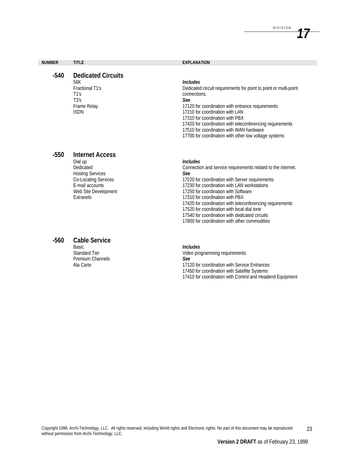| <b>NUMBER</b> | <b>TITLE</b>                                                                                                                                              | <b>EXPLANATION</b>                                                                                                                                                                                                                                                                                                                                                                                      |
|---------------|-----------------------------------------------------------------------------------------------------------------------------------------------------------|---------------------------------------------------------------------------------------------------------------------------------------------------------------------------------------------------------------------------------------------------------------------------------------------------------------------------------------------------------------------------------------------------------|
| $-540$        | <b>Dedicated Circuits</b><br>56K<br>Fractional T1's<br>T1's<br>T3's<br>Frame Relay<br><b>ISDN</b>                                                         | <b>Includes</b><br>Dedicated circuit requirements for point to point or multi-point<br>connections.<br>See<br>17120 for coordination with entrance requirements<br>17210 for coordination with LAN<br>17310 for coordination with PBX<br>17420 for coordination with teleconferencing requirements<br>17510 for coordination with WAN hardware<br>17700 for coordination with other low voltage systems |
| $-550$        | <b>Internet Access</b><br>Dial up<br>Dedicated<br><b>Hosting Services</b><br>Co-Locating Services<br>E-mail accounts<br>Web Site Development<br>Extranets | <b>Includes</b><br>Connection and service requirements related to the internet.<br>See<br>17220 for coordination with Server requirements<br>17230 for coordination with LAN workstations<br>17250 for coordination with Software<br>17310 for coordination with PBX<br>17420 for coordination with teleconferencing requirements                                                                       |

# 17800 for coordination with other commodities

# **-560 Cable Service**

Basic Standard Tier Premium Channels<br>Ala Carte

#### *Includes*

Video programming requirements *See* 17120 for coordination with Service Entrances 17450 for coordination with Satellite Systems 17410 for coordination with Control and Headend Equipment

17520 for coordination with local dial tone 17540 for coordination with dedicated circuits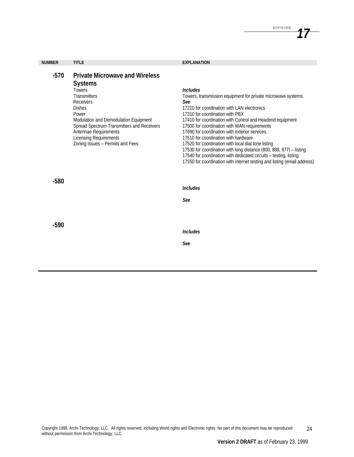| <b>NUMBER</b> | <b>TITLE</b>                                                                                                                                                                                                                                                                                                                | <b>EXPLANATION</b>                                                                                                                                                                                                                                                                                                                                                                                                                                                                                                                                                                                                                                              |
|---------------|-----------------------------------------------------------------------------------------------------------------------------------------------------------------------------------------------------------------------------------------------------------------------------------------------------------------------------|-----------------------------------------------------------------------------------------------------------------------------------------------------------------------------------------------------------------------------------------------------------------------------------------------------------------------------------------------------------------------------------------------------------------------------------------------------------------------------------------------------------------------------------------------------------------------------------------------------------------------------------------------------------------|
| $-570$        | <b>Private Microwave and Wireless</b><br><b>Systems</b><br><b>Towers</b><br><b>Transmitters</b><br><b>Receivers</b><br><b>Dishes</b><br>Power<br>Modulation and Demodulation Equipment<br>Spread Spectrum Transmitters and Receivers<br>Antennae Requirements<br>Licensing Requirements<br>Zoning Issues - Permits and Fees | <b>Includes</b><br>Towers, transmission equipment for private microwave systems.<br>See<br>17210 for coordination with LAN electronics<br>17310 for coordination with PBX<br>17410 for coordination with Control and Headend equipment<br>17500 for coordination with WAN requirements<br>17690 for coordination with exterior services.<br>17510 for coordination with hardware<br>17520 for coordination with local dial tone listing<br>17530 for coordination with long distance (800, 888, 877) - listing<br>17540 for coordination with dedicated circuits - testing, listing<br>17550 for coordination with internet testing and listing (email address) |
| $-580$        |                                                                                                                                                                                                                                                                                                                             | <b>Includes</b>                                                                                                                                                                                                                                                                                                                                                                                                                                                                                                                                                                                                                                                 |
|               |                                                                                                                                                                                                                                                                                                                             | See                                                                                                                                                                                                                                                                                                                                                                                                                                                                                                                                                                                                                                                             |
| $-590$        |                                                                                                                                                                                                                                                                                                                             | <b>Includes</b><br>See                                                                                                                                                                                                                                                                                                                                                                                                                                                                                                                                                                                                                                          |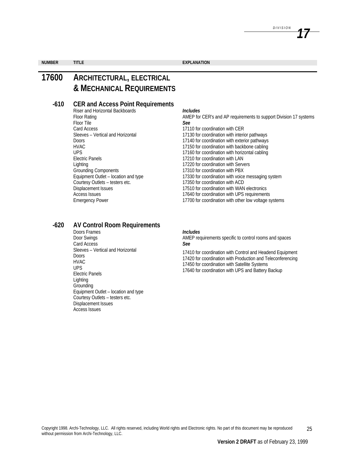**NUMBER TITLE EXPLANATION**

# **17600 ARCHITECTURAL, ELECTRICAL & MECHANICAL REQUIREMENTS**

### **-610 CER and Access Point Requirements**

Riser and Horizontal Backboards Floor Rating Floor Tile Card Access Sleeves – Vertical and Horizontal Doors HVAC UPS Electric Panels Lighting Grounding Components Equipment Outlet – location and type Courtesy Outlets – testers etc. Displacement Issues Access Issues Emergency Power

# **-620 AV Control Room Requirements**

Doors Frames Door Swings Card Access Sleeves – Vertical and Horizontal Doors HVAC UPS Electric Panels Lighting **Grounding** Equipment Outlet – location and type Courtesy Outlets – testers etc. Displacement Issues Access Issues

#### *Includes*

AMEP for CER's and AP requirements to support Division 17 systems *See* 17110 for coordination with CER 17130 for coordination with interior pathways 17140 for coordination with exterior pathways 17150 for coordination with backbone cabling 17160 for coordination with horizontal cabling 17210 for coordination with LAN 17220 for coordination with Servers 17310 for coordination with PBX 17330 for coordination with voice messaging system 17350 for coordination with ACD 17510 for coordination with WAN electronics 17640 for coordination with UPS requirements 17700 for coordination with other low voltage systems

#### *Includes*

AMEP requirements specific to control rooms and spaces *See*

17410 for coordination with Control and Headend Equipment 17420 for coordination with Production and Teleconferencing 17450 for coordination with Satellite Systems 17640 for coordination with UPS and Battery Backup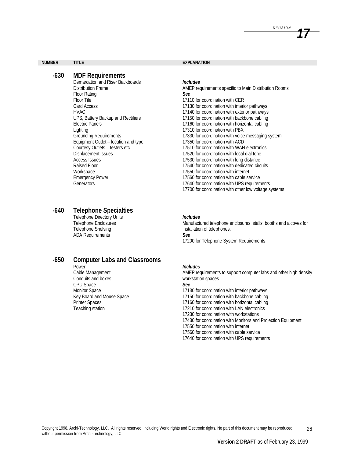# **-630 MDF Requirements**

Demarcation and Riser Backboards Distribution Frame Floor Rating Floor Tile Card Access HVAC UPS, Battery Backup and Rectifiers Electric Panels Lighting Grounding Requirements Equipment Outlet – location and type Courtesy Outlets – testers etc. Displacement Issues Access Issues Raised Floor Workspace Emergency Power **Generators** 

# **-640 Telephone Specialties**

Telephone Directory Units Telephone Enclosures Telephone Shelving ADA Requirements

# **-650 Computer Labs and Classrooms**

Power Cable Management Conduits and boxes CPU Space Monitor Space Key Board and Mouse Space Printer Spaces Teaching station

#### **NUMBER TITLE EXPLANATION**

#### *Includes*

AMEP requirements specific to Main Distribution Rooms *See* 17110 for coordination with CER 17130 for coordination with interior pathways 17140 for coordination with exterior pathways 17150 for coordination with backbone cabling 17160 for coordination with horizontal cabling 17310 for coordination with PBX 17330 for coordination with voice messaging system 17350 for coordination with ACD 17510 for coordination with WAN electronics 17520 for coordination with local dial tone 17530 for coordination with long distance 17540 for coordination with dedicated circuits 17550 for coordination with internet 17560 for coordination with cable service 17640 for coordination with UPS requirements 17700 for coordination with other low voltage systems

#### *Includes*

Manufactured telephone enclosures, stalls, booths and alcoves for installation of telephones. *See* 17200 for Telephone System Requirements

#### *Includes*

AMEP requirements to support computer labs and other high density workstation spaces.

### *See*

17130 for coordination with interior pathways 17150 for coordination with backbone cabling 17160 for coordination with horizontal cabling 17210 for coordination with LAN electronics 17230 for coordination with workstations 17430 for coordination with Monitors and Projection Equipment 17550 for coordination with internet 17560 for coordination with cable service 17640 for coordination with UPS requirements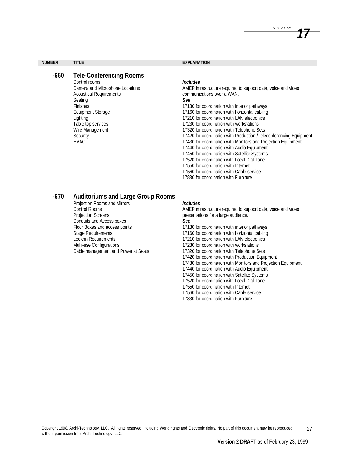| <b>NUMBER</b> | TITLE                           | <b>EXPLANATION</b>                                            |
|---------------|---------------------------------|---------------------------------------------------------------|
|               |                                 |                                                               |
| $-660$        | <b>Tele-Conferencing Rooms</b>  |                                                               |
|               | Control rooms                   | <i><u><b>Includes</b></u></i>                                 |
|               | Camera and Microphone Locations | AMEP infrastructure required to support data, voice and video |
|               | <b>Acoustical Requirements</b>  | communications over a WAN.                                    |
|               | Seating                         | See                                                           |
|               | <b>Finishes</b>                 | 17130 for coordination with interior pathways                 |
|               | <b>Equipment Storage</b>        | 17160 for coordination with horizontal cabling                |
|               | Lighting                        | 17210 for coordination with LAN electronics                   |
|               | Table top services              | 17230 for coordination with workstations                      |

#### :oordination with v

- 17320 for coordination with Telephone Sets
- 17420 for coordination with Production /Teleconferencing Equipment
- 17430 for coordination with Monitors and Projection Equipment
- 17440 for coordination with Audio Equipment
- 17450 for coordination with Satellite Systems
- 17520 for coordination with Local Dial Tone
- 17550 for coordination with Internet
- 17560 for coordination with Cable service
- 17830 for coordination with Furniture

# **-670 Auditoriums and Large Group Rooms**

Wire Management **Security** HVAC

Projection Rooms and Mirrors Control Rooms Projection Screens Conduits and Access boxes Floor Boxes and access points Stage Requirements Lectern Requirements Multi-use Configurations Cable management and Power at Seats

#### *Includes*

AMEP infrastructure required to support data, voice and video presentations for a large audience. *See*

17130 for coordination with interior pathways 17160 for coordination with horizontal cabling 17210 for coordination with LAN electronics 17230 for coordination with workstations 17320 for coordination with Telephone Sets 17420 for coordination with Production Equipment 17430 for coordination with Monitors and Projection Equipment 17440 for coordination with Audio Equipment 17450 for coordination with Satellite Systems 17520 for coordination with Local Dial Tone 17550 for coordination with Internet 17560 for coordination with Cable service 17830 for coordination with Furniture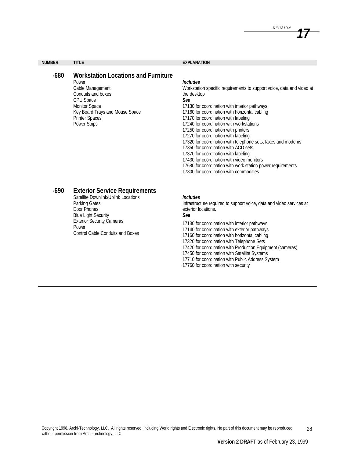| <b>Workstation Locations and Furniture</b><br>$-680$<br><i><u><b>Includes</b></u></i><br>Power<br>Workstation specific requirements to support voice, data and video at<br>Cable Management<br>Conduits and boxes<br>the desktop<br>CPU Space<br>See<br><b>Monitor Space</b><br>17130 for coordination with interior pathways<br>Key Board Trays and Mouse Space<br>17160 for coordination with horizontal cabling<br><b>Printer Spaces</b><br>17170 for coordination with labeling<br>17240 for coordination with workstations<br><b>Power Strips</b><br>17250 for coordination with printers<br>17270 for coordination with labeling<br>17320 for coordination with telephone sets, faxes and modems<br>17350 for coordination with ACD sets<br>17370 for coordination with labeling<br>17430 for coordination with video monitors<br>17680 for coordination with work station power requirements<br>17800 for coordination with commodities |  |
|------------------------------------------------------------------------------------------------------------------------------------------------------------------------------------------------------------------------------------------------------------------------------------------------------------------------------------------------------------------------------------------------------------------------------------------------------------------------------------------------------------------------------------------------------------------------------------------------------------------------------------------------------------------------------------------------------------------------------------------------------------------------------------------------------------------------------------------------------------------------------------------------------------------------------------------------|--|

### **-690 Exterior Service Requirements**

Satellite Downlink/Uplink Locations Parking Gates Door Phones Blue Light Security Exterior Security Cameras Power Control Cable Conduits and Boxes

#### *Includes*

Infrastructure required to support voice, data and video services at exterior locations. *See*

17130 for coordination with interior pathways 17140 for coordination with exterior pathways 17160 for coordination with horizontal cabling 17320 for coordination with Telephone Sets 17420 for coordination with Production Equipment (cameras) 17450 for coordination with Satellite Systems 17710 for coordination with Public Address System 17760 for coordination with security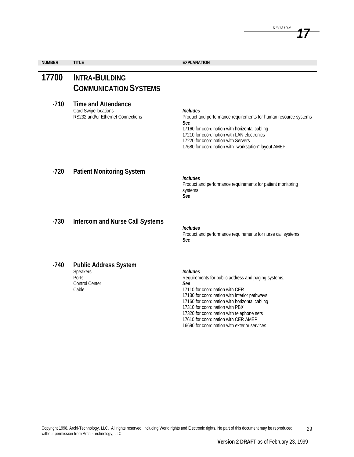| NUMBER | <b>TITLE</b>                                                                            | <b>EXPLANATION</b>                                                                                                                                                                                                                                                                         |
|--------|-----------------------------------------------------------------------------------------|--------------------------------------------------------------------------------------------------------------------------------------------------------------------------------------------------------------------------------------------------------------------------------------------|
| 17700  | <b>INTRA-BUILDING</b><br><b>COMMUNICATION SYSTEMS</b>                                   |                                                                                                                                                                                                                                                                                            |
| $-710$ | <b>Time and Attendance</b><br>Card Swipe locations<br>RS232 and/or Ethernet Connections | <b>Includes</b><br>Product and performance requirements for human resource systems<br>See<br>17160 for coordination with horizontal cabling<br>17210 for coordination with LAN electronics<br>17220 for coordination with Servers<br>17680 for coordination with" workstation" layout AMEP |
| $-720$ | <b>Patient Monitoring System</b>                                                        | <b>Includes</b><br>Product and performance requirements for patient monitoring<br>systems<br>See                                                                                                                                                                                           |
| $-730$ | <b>Intercom and Nurse Call Systems</b>                                                  | <b>Includes</b><br>Product and performance requirements for nurse call systems<br>See                                                                                                                                                                                                      |
| $-740$ | <b>Public Address System</b><br>Speakers<br>Ports<br><b>Control Center</b><br>Cable     | <b>Includes</b><br>Requirements for public address and paging systems.<br>See<br>17110 for coordination with CER<br>17130 for coordination with interior pathways<br>17160 for coordination with horizontal cabling<br>$17210$ for coordination with DDV                                   |

17310 for coordination with PBX

17320 for coordination with telephone sets

17610 for coordination with CER AMEP 16690 for coordination with exterior services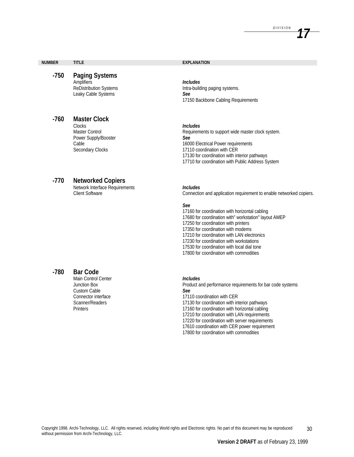| <b>NUMBER</b> | <b>TITLE</b>                                                                                                | <b>EXPLANATION</b>                                                                                                                                                                                                                                      |
|---------------|-------------------------------------------------------------------------------------------------------------|---------------------------------------------------------------------------------------------------------------------------------------------------------------------------------------------------------------------------------------------------------|
| $-750$        | <b>Paging Systems</b><br>Amplifiers<br><b>ReDistribution Systems</b><br>Leaky Cable Systems                 | <b>Includes</b><br>Intra-building paging systems.<br>See<br>17150 Backbone Cabling Requirements                                                                                                                                                         |
| $-760$        | <b>Master Clock</b><br>Clocks<br>Master Control<br>Power Supply/Booster<br>Cable<br><b>Secondary Clocks</b> | <b>Includes</b><br>Requirements to support wide master clock system.<br>See<br>16000 Electrical Power requirements<br>17110 coordination with CER<br>17130 for coordination with interior pathways<br>17710 for coordination with Public Address System |
| $-770$        | <b>Networked Copiers</b><br>Network Interface Requirements<br><b>Client Software</b>                        | <i><u><b>Includes</b></u></i><br>Connection and application requirement to enable networked copiers.                                                                                                                                                    |

#### *See*

17160 for coordination with horizontal cabling 17680 for coordination with" workstation" layout AMEP 17250 for coordination with printers 17350 for coordination with modems 17210 for coordination with LAN electronics 17230 for coordination with workstations 17530 for coordination with local dial tone 17800 for coordination with commodities

# **-780 Bar Code**

Main Control Center Junction Box Custom Cable Connector interface Scanner/Readers **Printers** 

#### *Includes*

Product and performance requirements for bar code systems *See* 17110 coordination with CER 17130 for coordination with interior pathways 17160 for coordination with horizontal cabling 17210 for coordination with LAN requirements 17220 for coordination with server requirements 17610 coordination with CER power requirement 17800 for coordination with commodities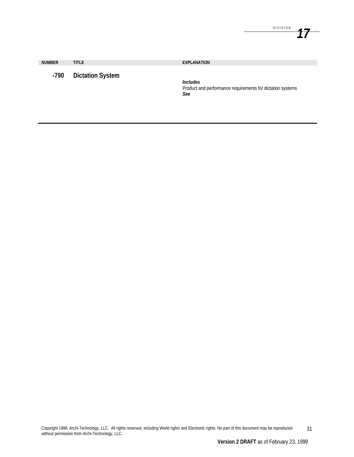| <b>NUMBER</b> | <b>TITLE</b>            | <b>EXPLANATION</b>                                                                          |
|---------------|-------------------------|---------------------------------------------------------------------------------------------|
| -790          | <b>Dictation System</b> |                                                                                             |
|               |                         | <i><u><b>Includes</b></u></i><br>Product and performance requirements for dictation systems |
|               |                         | See                                                                                         |
|               |                         |                                                                                             |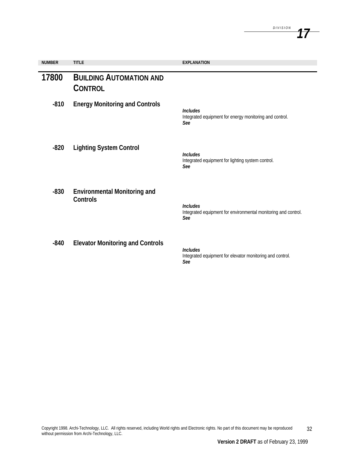| <b>NUMBER</b> | <b>TITLE</b>                                           | <b>EXPLANATION</b>                                                                       |
|---------------|--------------------------------------------------------|------------------------------------------------------------------------------------------|
| 17800         | <b>BUILDING AUTOMATION AND</b><br><b>CONTROL</b>       |                                                                                          |
| $-810$        | <b>Energy Monitoring and Controls</b>                  | <b>Includes</b><br>Integrated equipment for energy monitoring and control.<br>See        |
| $-820$        | <b>Lighting System Control</b>                         | <b>Includes</b><br>Integrated equipment for lighting system control.<br>See              |
| $-830$        | <b>Environmental Monitoring and</b><br><b>Controls</b> | <b>Includes</b><br>Integrated equipment for environmental monitoring and control.<br>See |
| $-840$        | <b>Elevator Monitoring and Controls</b>                | <b>Includes</b><br>Integrated equipment for elevator monitoring and control.<br>See      |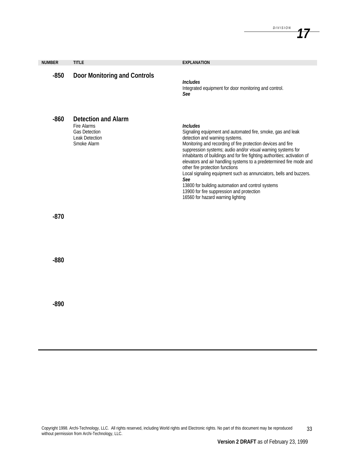| <b>NUMBER</b> | <b>TITLE</b>                                                                                       | <b>EXPLANATION</b>                                                                                                                                                                                                                                                                                                                                                                                                                                                                                                                                                                                                                                          |
|---------------|----------------------------------------------------------------------------------------------------|-------------------------------------------------------------------------------------------------------------------------------------------------------------------------------------------------------------------------------------------------------------------------------------------------------------------------------------------------------------------------------------------------------------------------------------------------------------------------------------------------------------------------------------------------------------------------------------------------------------------------------------------------------------|
| $-850$        | <b>Door Monitoring and Controls</b>                                                                | <b>Includes</b><br>Integrated equipment for door monitoring and control.<br>See                                                                                                                                                                                                                                                                                                                                                                                                                                                                                                                                                                             |
| $-860$        | <b>Detection and Alarm</b><br>Fire Alarms<br><b>Gas Detection</b><br>Leak Detection<br>Smoke Alarm | <b>Includes</b><br>Signaling equipment and automated fire, smoke, gas and leak<br>detection and warning systems.<br>Monitoring and recording of fire protection devices and fire<br>suppression systems; audio and/or visual warning systems for<br>inhabitants of buildings and for fire fighting authorities; activation of<br>elevators and air handling systems to a predetermined fire mode and<br>other fire protection functions<br>Local signaling equipment such as annunciators, bells and buzzers.<br>See<br>13800 for building automation and control systems<br>13900 for fire suppression and protection<br>16560 for hazard warning lighting |
| $-870$        |                                                                                                    |                                                                                                                                                                                                                                                                                                                                                                                                                                                                                                                                                                                                                                                             |
| $-880$        |                                                                                                    |                                                                                                                                                                                                                                                                                                                                                                                                                                                                                                                                                                                                                                                             |
| $-890$        |                                                                                                    |                                                                                                                                                                                                                                                                                                                                                                                                                                                                                                                                                                                                                                                             |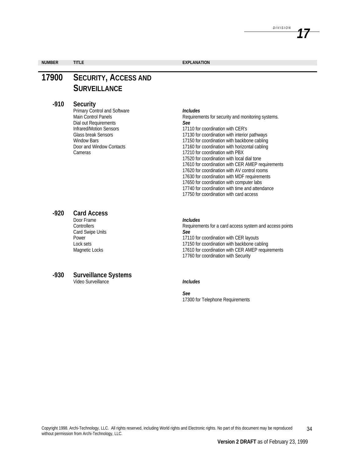| <b>NUMBER</b> | <b>TITLE</b>                                    | <b>EXPLANATION</b>                                       |
|---------------|-------------------------------------------------|----------------------------------------------------------|
| 17900         | <b>SECURITY, ACCESS AND</b>                     |                                                          |
|               | <b>SURVEILLANCE</b>                             |                                                          |
| $-910$        | <b>Security</b><br>Primary Control and Software | <i><u><b>Includes</b></u></i>                            |
|               | Main Control Panels<br>Dial out Requirements    | Requirements for security and monitoring systems.<br>See |
|               | Infrared/Motion Sensors                         | 17110 for coordination with CER's                        |
|               | <b>Glass break Sensors</b>                      | 17130 for coordination with interior pathways            |
|               | <b>Window Bars</b>                              | 17150 for coordination with backbone cabling             |
|               | Door and Window Contacts                        | 17160 for coordination with horizontal cabling           |
|               | Cameras                                         | 17210 for coordination with PBX                          |
|               |                                                 | 17520 for coordination with local dial tone              |

# **-920 Card Access**

Door Frame **Controllers** Card Swipe Units Power Lock sets Magnetic Locks

#### *Includes*

Requirements for a card access system and access points *See* 17110 for coordination with CER layouts 17150 for coordination with backbone cabling 17610 for coordination with CER AMEP requirements 17760 for coordination with Security

17610 for coordination with CER AMEP requirements 17620 for coordination with AV control rooms 17630 for coordination with MDF requirements 17650 for coordination with computer labs 17740 for coordination with time and attendance 17750 for coordination with card access

# **-930 Surveillance Systems**

Video Surveillance

#### *Includes*

*See* 17300 for Telephone Requirements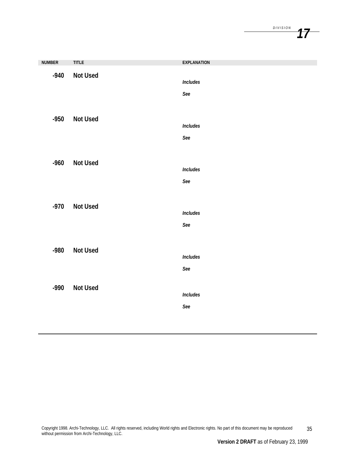| <b>NUMBER</b> | TITLE           | <b>EXPLANATION</b>     |
|---------------|-----------------|------------------------|
| $-940$        | <b>Not Used</b> | Includes<br>See        |
| $-950$        | <b>Not Used</b> | <b>Includes</b><br>See |
| $-960$        | <b>Not Used</b> | <b>Includes</b><br>See |
| $-970$        | <b>Not Used</b> | <b>Includes</b><br>See |
| $-980$        | <b>Not Used</b> | <b>Includes</b><br>See |
| $-990$        | <b>Not Used</b> | <b>Includes</b><br>See |